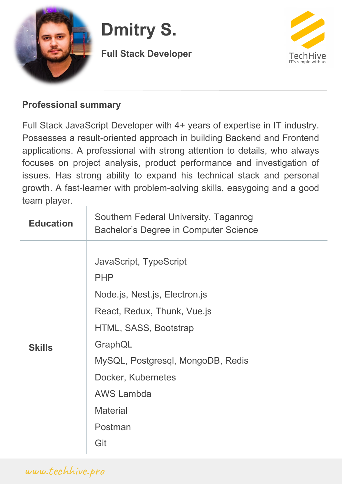

## **Dmitry S.**

**Full Stack Developer**



## **Professional summary**

Full Stack JavaScript Developer with 4+ years of expertise in IT industry. Possesses a result-oriented approach in building Backend and Frontend applications. A professional with strong attention to details, who always focuses on project analysis, product performance and investigation of issues. Has strong ability to expand his technical stack and personal growth. A fast-learner with problem-solving skills, easygoing and a good team player.

| <b>Education</b> | Southern Federal University, Taganrog<br>Bachelor's Degree in Computer Science                                                                                                                                                                                |
|------------------|---------------------------------------------------------------------------------------------------------------------------------------------------------------------------------------------------------------------------------------------------------------|
| <b>Skills</b>    | JavaScript, TypeScript<br><b>PHP</b><br>Node.js, Nest.js, Electron.js<br>React, Redux, Thunk, Vue.js<br>HTML, SASS, Bootstrap<br>GraphQL<br>MySQL, Postgresql, MongoDB, Redis<br>Docker, Kubernetes<br><b>AWS Lambda</b><br><b>Material</b><br>Postman<br>Git |
|                  |                                                                                                                                                                                                                                                               |

www.techhive.pro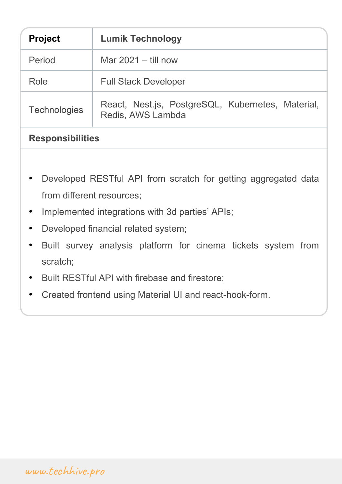| <b>Project</b>          | <b>Lumik Technology</b>                                                |
|-------------------------|------------------------------------------------------------------------|
| Period                  | Mar $2021 -$ till now                                                  |
| Role                    | <b>Full Stack Developer</b>                                            |
| <b>Technologies</b>     | React, Nest.js, PostgreSQL, Kubernetes, Material,<br>Redis, AWS Lambda |
| <b>Responsibilities</b> |                                                                        |
|                         |                                                                        |

- Developed RESTful API from scratch for getting aggregated data from different resources;
- Implemented integrations with 3d parties' APIs;
- Developed financial related system;
- Built survey analysis platform for cinema tickets system from scratch;
- Built RESTful API with firebase and firestore;
- Created frontend using Material UI and react-hook-form.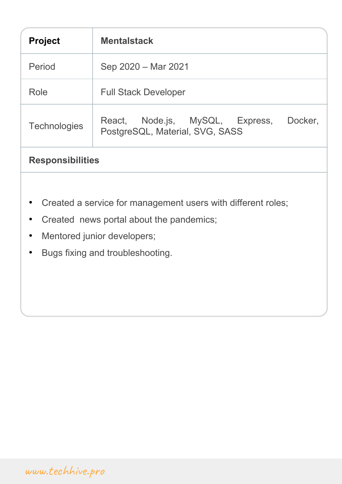| <b>Project</b>                                                                                                        | <b>Mentalstack</b>                                                            |
|-----------------------------------------------------------------------------------------------------------------------|-------------------------------------------------------------------------------|
| Period                                                                                                                | Sep 2020 - Mar 2021                                                           |
| Role                                                                                                                  | <b>Full Stack Developer</b>                                                   |
| <b>Technologies</b>                                                                                                   | React, Node.js, MySQL, Express,<br>Docker,<br>PostgreSQL, Material, SVG, SASS |
| <b>Responsibilities</b>                                                                                               |                                                                               |
| Created a service for management users with different roles;<br>Created news portal about the pandemics;<br>$\bullet$ |                                                                               |

- Mentored junior developers;
- Bugs fixing and troubleshooting.

www.techhive.pro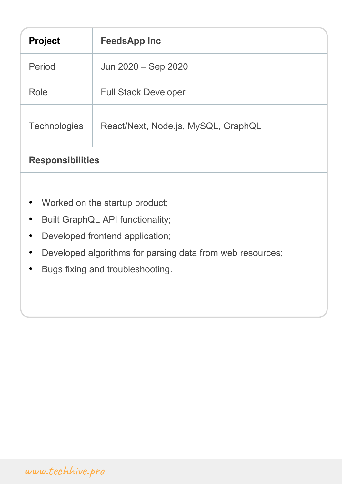| <b>Project</b>                                                         | <b>FeedsApp Inc</b>                 |  |
|------------------------------------------------------------------------|-------------------------------------|--|
| Period                                                                 | Jun 2020 – Sep 2020                 |  |
| Role                                                                   | <b>Full Stack Developer</b>         |  |
| <b>Technologies</b>                                                    | React/Next, Node.js, MySQL, GraphQL |  |
| <b>Responsibilities</b>                                                |                                     |  |
|                                                                        |                                     |  |
| Worked on the startup product;<br>$\bullet$                            |                                     |  |
| Built GraphQL API functionality;                                       |                                     |  |
| Developed frontend application;<br>$\bullet$                           |                                     |  |
| Developed algorithms for parsing data from web resources;<br>$\bullet$ |                                     |  |

• Bugs fixing and troubleshooting.

## www.techhive.pro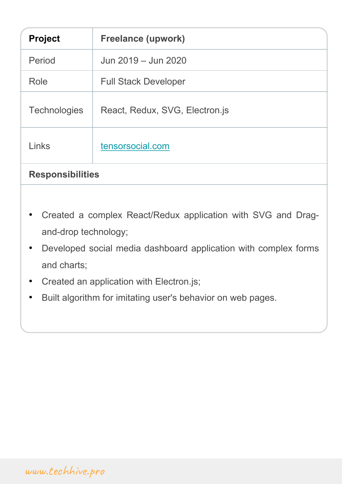| <b>Project</b>          | <b>Freelance (upwork)</b>      |
|-------------------------|--------------------------------|
| Period                  | Jun 2019 - Jun 2020            |
| Role                    | <b>Full Stack Developer</b>    |
| <b>Technologies</b>     | React, Redux, SVG, Electron.js |
| Links                   | tensorsocial.com               |
| <b>Responsibilities</b> |                                |

- Created a complex React/Redux application with SVG and Dragand-drop technology;
- Developed social media dashboard application with complex forms and charts;
- Created an application with Electron.js;
- Built algorithm for imitating user's behavior on web pages.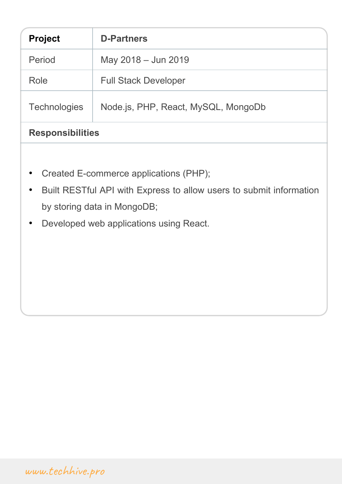| <b>Project</b>          | <b>D-Partners</b>                   |
|-------------------------|-------------------------------------|
| Period                  | May 2018 - Jun 2019                 |
| Role                    | <b>Full Stack Developer</b>         |
| <b>Technologies</b>     | Node.js, PHP, React, MySQL, MongoDb |
| <b>Responsibilities</b> |                                     |

- Created E-commerce applications (PHP);
- Built RESTful API with Express to allow users to submit information by storing data in MongoDB;
- Developed web applications using React.